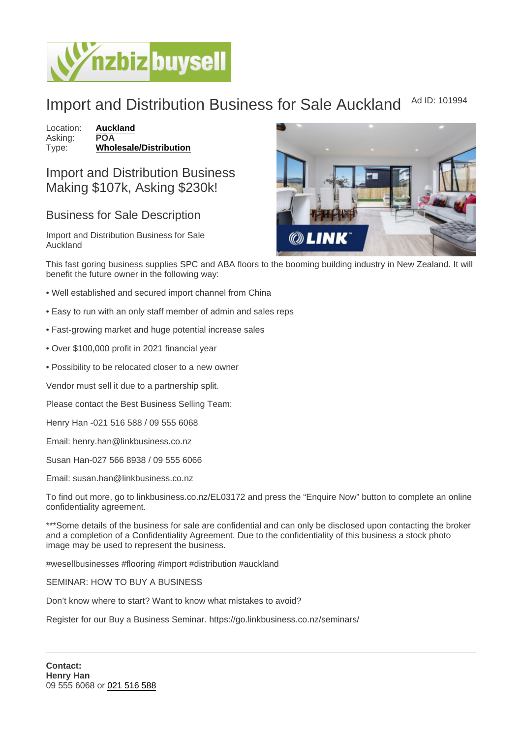## Import and Distribution Business for Sale Auckland Ad ID: 101994

Location: [Auckland](https://www.nzbizbuysell.co.nz/businesses-for-sale/location/Auckland) Asking: POA<br>Type: Who [Wholesale/Distribution](https://www.nzbizbuysell.co.nz/businesses-for-sale/Wholesale--Distribution/New-Zealand)

## Import and Distribution Business Making \$107k, Asking \$230k!

## Business for Sale Description

Import and Distribution Business for Sale Auckland

This fast goring business supplies SPC and ABA floors to the booming building industry in New Zealand. It will benefit the future owner in the following way:

- Well established and secured import channel from China
- Easy to run with an only staff member of admin and sales reps
- Fast-growing market and huge potential increase sales
- Over \$100,000 profit in 2021 financial year
- Possibility to be relocated closer to a new owner

Vendor must sell it due to a partnership split.

Please contact the Best Business Selling Team:

Henry Han -021 516 588 / 09 555 6068

Email: henry.han@linkbusiness.co.nz

Susan Han-027 566 8938 / 09 555 6066

Email: susan.han@linkbusiness.co.nz

To find out more, go to linkbusiness.co.nz/EL03172 and press the "Enquire Now" button to complete an online confidentiality agreement.

\*\*\*Some details of the business for sale are confidential and can only be disclosed upon contacting the broker and a completion of a Confidentiality Agreement. Due to the confidentiality of this business a stock photo image may be used to represent the business.

#wesellbusinesses #flooring #import #distribution #auckland

SEMINAR: HOW TO BUY A BUSINESS

Don't know where to start? Want to know what mistakes to avoid?

Register for our Buy a Business Seminar. https://go.linkbusiness.co.nz/seminars/